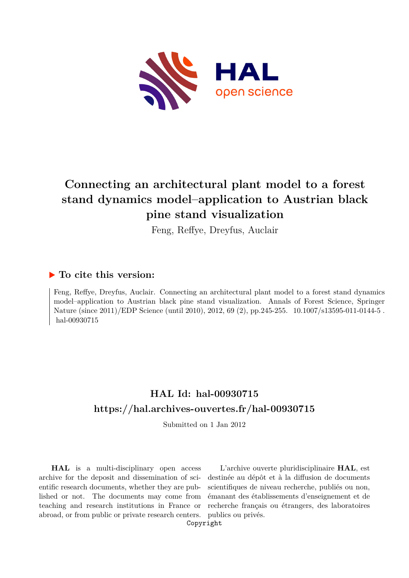

# **Connecting an architectural plant model to a forest stand dynamics model–application to Austrian black pine stand visualization**

Feng, Reffye, Dreyfus, Auclair

### **To cite this version:**

Feng, Reffye, Dreyfus, Auclair. Connecting an architectural plant model to a forest stand dynamics model–application to Austrian black pine stand visualization. Annals of Forest Science, Springer Nature (since 2011)/EDP Science (until 2010), 2012, 69 (2), pp. 245-255. 10.1007/s13595-011-0144-5. hal-00930715

## **HAL Id: hal-00930715 <https://hal.archives-ouvertes.fr/hal-00930715>**

Submitted on 1 Jan 2012

**HAL** is a multi-disciplinary open access archive for the deposit and dissemination of scientific research documents, whether they are published or not. The documents may come from teaching and research institutions in France or abroad, or from public or private research centers.

L'archive ouverte pluridisciplinaire **HAL**, est destinée au dépôt et à la diffusion de documents scientifiques de niveau recherche, publiés ou non, émanant des établissements d'enseignement et de recherche français ou étrangers, des laboratoires publics ou privés.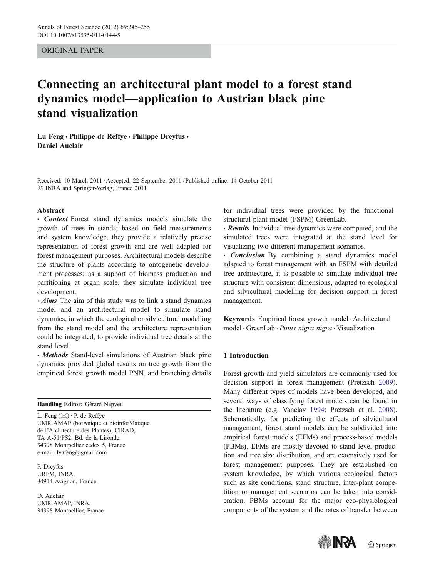#### ORIGINAL PAPER

### Connecting an architectural plant model to a forest stand dynamics model—application to Austrian black pine stand visualization

Lu Feng • Philippe de Reffye • Philippe Dreyfus • Daniel Auclair

Received: 10 March 2011 /Accepted: 22 September 2011 / Published online: 14 October 2011  $\oslash$  INRA and Springer-Verlag, France 2011

#### Abstract

• Context Forest stand dynamics models simulate the growth of trees in stands; based on field measurements and system knowledge, they provide a relatively precise representation of forest growth and are well adapted for forest management purposes. Architectural models describe the structure of plants according to ontogenetic development processes; as a support of biomass production and partitioning at organ scale, they simulate individual tree development.

 $\cdot$  Aims The aim of this study was to link a stand dynamics model and an architectural model to simulate stand dynamics, in which the ecological or silvicultural modelling from the stand model and the architecture representation could be integrated, to provide individual tree details at the stand level.

• Methods Stand-level simulations of Austrian black pine dynamics provided global results on tree growth from the empirical forest growth model PNN, and branching details

Handling Editor: Gérard Nepveu

L. Feng  $(\boxtimes) \cdot$  P. de Reffye UMR AMAP (botAnique et bioinforMatique de l'Architecture des Plantes), CIRAD, TA A-51/PS2, Bd. de la Lironde, 34398 Montpellier cedex 5, France e-mail: fyafeng@gmail.com

P. Dreyfus URFM, INRA, 84914 Avignon, France

D. Auclair UMR AMAP, INRA, 34398 Montpellier, France

for individual trees were provided by the functional– structural plant model (FSPM) GreenLab.

• Results Individual tree dynamics were computed, and the simulated trees were integrated at the stand level for visualizing two different management scenarios.

• Conclusion By combining a stand dynamics model adapted to forest management with an FSPM with detailed tree architecture, it is possible to simulate individual tree structure with consistent dimensions, adapted to ecological and silvicultural modelling for decision support in forest management.

Keywords Empirical forest growth model . Architectural model . GreenLab . Pinus nigra nigra . Visualization

#### 1 Introduction

Forest growth and yield simulators are commonly used for decision support in forest management (Pretzsch 2009). Many different types of models have been developed, and several ways of classifying forest models can be found in the literature (e.g. Vanclay 1994; Pretzsch et al. 2008). Schematically, for predicting the effects of silvicultural management, forest stand models can be subdivided into empirical forest models (EFMs) and process-based models (PBMs). EFMs are mostly devoted to stand level production and tree size distribution, and are extensively used for forest management purposes. They are established on system knowledge, by which various ecological factors such as site conditions, stand structure, inter-plant competition or management scenarios can be taken into consideration. PBMs account for the major eco-physiological components of the system and the rates of transfer between

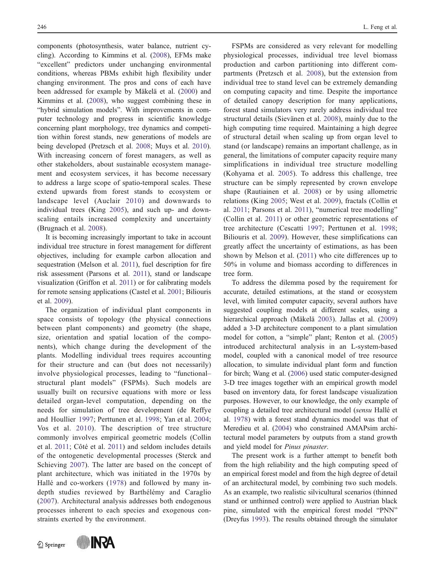components (photosynthesis, water balance, nutrient cycling). According to Kimmins et al. (2008), EFMs make "excellent" predictors under unchanging environmental conditions, whereas PBMs exhibit high flexibility under changing environment. The pros and cons of each have been addressed for example by Mäkelä et al. (2000) and Kimmins et al. (2008), who suggest combining these in "hybrid simulation models". With improvements in computer technology and progress in scientific knowledge concerning plant morphology, tree dynamics and competition within forest stands, new generations of models are being developed (Pretzsch et al. 2008; Muys et al. 2010). With increasing concern of forest managers, as well as other stakeholders, about sustainable ecosystem management and ecosystem services, it has become necessary to address a large scope of spatio-temporal scales. These extend upwards from forest stands to ecosystem or landscape level (Auclair 2010) and downwards to individual trees (King 2005), and such up- and downscaling entails increased complexity and uncertainty (Brugnach et al. 2008).

It is becoming increasingly important to take in account individual tree structure in forest management for different objectives, including for example carbon allocation and sequestration (Melson et al. 2011), fuel description for fire risk assessment (Parsons et al. 2011), stand or landscape visualization (Griffon et al. 2011) or for calibrating models for remote sensing applications (Castel et al. 2001; Biliouris et al. 2009).

The organization of individual plant components in space consists of topology (the physical connections between plant components) and geometry (the shape, size, orientation and spatial location of the components), which change during the development of the plants. Modelling individual trees requires accounting for their structure and can (but does not necessarily) involve physiological processes, leading to "functional– structural plant models" (FSPMs). Such models are usually built on recursive equations with more or less detailed organ-level computation, depending on the needs for simulation of tree development (de Reffye and Houllier 1997; Perttunen et al. 1998; Yan et al. 2004; Vos et al. 2010). The description of tree structure commonly involves empirical geometric models (Collin et al. 2011; Côté et al. 2011) and seldom includes details of the ontogenetic developmental processes (Sterck and Schieving 2007). The latter are based on the concept of plant architecture, which was initiated in the 1970s by Hallé and co-workers (1978) and followed by many indepth studies reviewed by Barthélémy and Caraglio (2007). Architectural analysis addresses both endogenous processes inherent to each species and exogenous constraints exerted by the environment.

 $\textcircled{2}$  Springer



FSPMs are considered as very relevant for modelling physiological processes, individual tree level biomass production and carbon partitioning into different compartments (Pretzsch et al. 2008), but the extension from individual tree to stand level can be extremely demanding on computing capacity and time. Despite the importance of detailed canopy description for many applications, forest stand simulators very rarely address individual tree structural details (Sievänen et al. 2008), mainly due to the high computing time required. Maintaining a high degree of structural detail when scaling up from organ level to stand (or landscape) remains an important challenge, as in general, the limitations of computer capacity require many simplifications in individual tree structure modelling (Kohyama et al. 2005). To address this challenge, tree structure can be simply represented by crown envelope shape (Rautiainen et al. 2008) or by using allometric relations (King 2005; West et al. 2009), fractals (Collin et al. 2011; Parsons et al. 2011), "numerical tree modelling" (Collin et al. 2011) or other geometric representations of tree architecture (Cescatti 1997; Perttunen et al. 1998; Biliouris et al. 2009). However, these simplifications can greatly affect the uncertainty of estimations, as has been shown by Melson et al. (2011) who cite differences up to 50% in volume and biomass according to differences in tree form.

To address the dilemma posed by the requirement for accurate, detailed estimations, at the stand or ecosystem level, with limited computer capacity, several authors have suggested coupling models at different scales, using a hierarchical approach (Mäkelä 2003). Jallas et al. (2009) added a 3-D architecture component to a plant simulation model for cotton, a "simple" plant; Renton et al. (2005) introduced architectural analysis in an L-system-based model, coupled with a canonical model of tree resource allocation, to simulate individual plant form and function for birch; Wang et al. (2006) used static computer-designed 3-D tree images together with an empirical growth model based on inventory data, for forest landscape visualization purposes. However, to our knowledge, the only example of coupling a detailed tree architectural model (sensu Hallé et al. 1978) with a forest stand dynamics model was that of Meredieu et al. (2004) who constrained AMAPsim architectural model parameters by outputs from a stand growth and yield model for Pinus pinaster.

The present work is a further attempt to benefit both from the high reliability and the high computing speed of an empirical forest model and from the high degree of detail of an architectural model, by combining two such models. As an example, two realistic silvicultural scenarios (thinned stand or unthinned control) were applied to Austrian black pine, simulated with the empirical forest model "PNN" (Dreyfus 1993). The results obtained through the simulator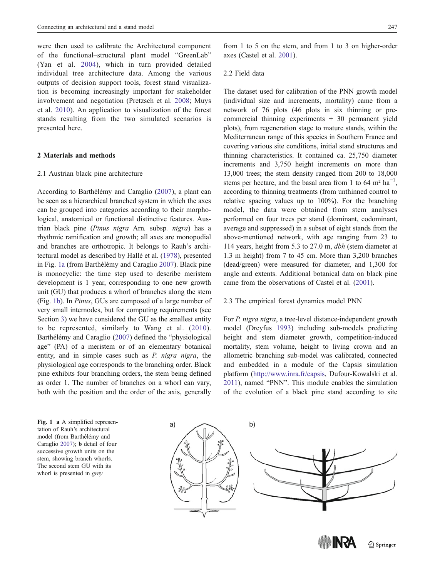were then used to calibrate the Architectural component of the functional–structural plant model "GreenLab" (Yan et al. 2004), which in turn provided detailed individual tree architecture data. Among the various outputs of decision support tools, forest stand visualization is becoming increasingly important for stakeholder involvement and negotiation (Pretzsch et al. 2008; Muys et al. 2010). An application to visualization of the forest stands resulting from the two simulated scenarios is presented here.

#### 2 Materials and methods

#### 2.1 Austrian black pine architecture

According to Barthélémy and Caraglio (2007), a plant can be seen as a hierarchical branched system in which the axes can be grouped into categories according to their morphological, anatomical or functional distinctive features. Austrian black pine (Pinus nigra Arn. subsp. nigra) has a rhythmic ramification and growth; all axes are monopodial and branches are orthotropic. It belongs to Rauh's architectural model as described by Hallé et al. (1978), presented in Fig. 1a (from Barthélémy and Caraglio 2007). Black pine is monocyclic: the time step used to describe meristem development is 1 year, corresponding to one new growth unit (GU) that produces a whorl of branches along the stem (Fig. 1b). In Pinus, GUs are composed of a large number of very small internodes, but for computing requirements (see Section 3) we have considered the GU as the smallest entity to be represented, similarly to Wang et al. (2010). Barthélémy and Caraglio (2007) defined the "physiological age" (PA) of a meristem or of an elementary botanical entity, and in simple cases such as P. nigra nigra, the physiological age corresponds to the branching order. Black pine exhibits four branching orders, the stem being defined as order 1. The number of branches on a whorl can vary, both with the position and the order of the axis, generally

from 1 to 5 on the stem, and from 1 to 3 on higher-order axes (Castel et al. 2001).

#### 2.2 Field data

The dataset used for calibration of the PNN growth model (individual size and increments, mortality) came from a network of 76 plots (46 plots in six thinning or precommercial thinning experiments + 30 permanent yield plots), from regeneration stage to mature stands, within the Mediterranean range of this species in Southern France and covering various site conditions, initial stand structures and thinning characteristics. It contained ca. 25,750 diameter increments and 3,750 height increments on more than 13,000 trees; the stem density ranged from 200 to 18,000 stems per hectare, and the basal area from 1 to  $64 \text{ m}^2 \text{ ha}^{-1}$ , according to thinning treatments (from unthinned control to relative spacing values up to 100%). For the branching model, the data were obtained from stem analyses performed on four trees per stand (dominant, codominant, average and suppressed) in a subset of eight stands from the above-mentioned network, with age ranging from 23 to 114 years, height from 5.3 to 27.0 m, dbh (stem diameter at 1.3 m height) from 7 to 45 cm. More than 3,200 branches (dead/green) were measured for diameter, and 1,300 for angle and extents. Additional botanical data on black pine came from the observations of Castel et al. (2001).

#### 2.3 The empirical forest dynamics model PNN

For *P. nigra nigra*, a tree-level distance-independent growth model (Dreyfus 1993) including sub-models predicting height and stem diameter growth, competition-induced mortality, stem volume, height to living crown and an allometric branching sub-model was calibrated, connected and embedded in a module of the Capsis simulation platform ([http://www.inra.fr/capsis,](http://www.inra.fr/capsis) Dufour-Kowalski et al. 2011), named "PNN". This module enables the simulation of the evolution of a black pine stand according to site

**IN YA** 

 $\mathcal{D}$  Springer

tation of Rauh's architectural model (from Barthélémy and Caraglio 2007); b detail of four successive growth units on the stem, showing branch whorls. The second stem GU with its whorl is presented in *grey* 

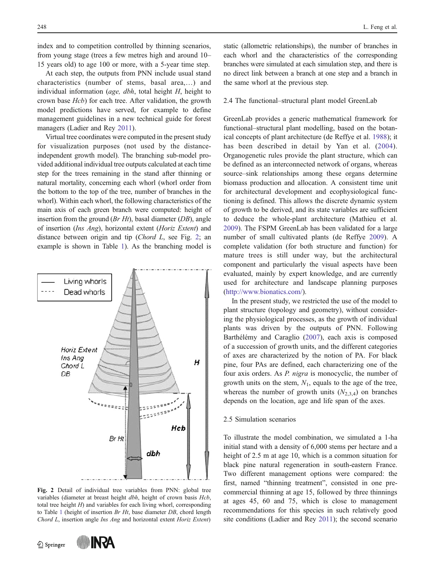index and to competition controlled by thinning scenarios, from young stage (trees a few metres high and around 10– 15 years old) to age 100 or more, with a 5-year time step.

At each step, the outputs from PNN include usual stand characteristics (number of stems, basal area,…) and individual information ( $age, dbh$ , total height H, height to crown base Hcb) for each tree. After validation, the growth model predictions have served, for example to define management guidelines in a new technical guide for forest managers (Ladier and Rey 2011).

Virtual tree coordinates were computed in the present study for visualization purposes (not used by the distanceindependent growth model). The branching sub-model provided additional individual tree outputs calculated at each time step for the trees remaining in the stand after thinning or natural mortality, concerning each whorl (whorl order from the bottom to the top of the tree, number of branches in the whorl). Within each whorl, the following characteristics of the main axis of each green branch were computed: height of insertion from the ground  $(Br Ht)$ , basal diameter  $(DB)$ , angle of insertion (Ins Ang), horizontal extent (Horiz Extent) and distance between origin and tip (Chord L, see Fig. 2; an example is shown in Table 1). As the branching model is



Fig. 2 Detail of individual tree variables from PNN: global tree variables (diameter at breast height dbh, height of crown basis Hcb, total tree height  $H$ ) and variables for each living whorl, corresponding to Table 1 (height of insertion  $Br Ht$ , base diameter  $DB$ , chord length Chord L, insertion angle Ins Ang and horizontal extent Horiz Extent)

Springer



static (allometric relationships), the number of branches in each whorl and the characteristics of the corresponding branches were simulated at each simulation step, and there is no direct link between a branch at one step and a branch in the same whorl at the previous step.

#### 2.4 The functional–structural plant model GreenLab

GreenLab provides a generic mathematical framework for functional–structural plant modelling, based on the botanical concepts of plant architecture (de Reffye et al. 1988); it has been described in detail by Yan et al. (2004). Organogenetic rules provide the plant structure, which can be defined as an interconnected network of organs, whereas source–sink relationships among these organs determine biomass production and allocation. A consistent time unit for architectural development and ecophysiological functioning is defined. This allows the discrete dynamic system of growth to be derived, and its state variables are sufficient to deduce the whole-plant architecture (Mathieu et al. 2009). The FSPM GreenLab has been validated for a large number of small cultivated plants (de Reffye 2009). A complete validation (for both structure and function) for mature trees is still under way, but the architectural component and particularly the visual aspects have been evaluated, mainly by expert knowledge, and are currently used for architecture and landscape planning purposes [\(http://www.bionatics.com/](http://www.bionatics.com/)).

In the present study, we restricted the use of the model to plant structure (topology and geometry), without considering the physiological processes, as the growth of individual plants was driven by the outputs of PNN. Following Barthélémy and Caraglio (2007), each axis is composed of a succession of growth units, and the different categories of axes are characterized by the notion of PA. For black pine, four PAs are defined, each characterizing one of the four axis orders. As P. nigra is monocyclic, the number of growth units on the stem,  $N_1$ , equals to the age of the tree, whereas the number of growth units  $(N_{2,3,4})$  on branches depends on the location, age and life span of the axes.

#### 2.5 Simulation scenarios

To illustrate the model combination, we simulated a 1-ha initial stand with a density of 6,000 stems per hectare and a height of 2.5 m at age 10, which is a common situation for black pine natural regeneration in south-eastern France. Two different management options were compared: the first, named "thinning treatment", consisted in one precommercial thinning at age 15, followed by three thinnings at ages 45, 60 and 75, which is close to management recommendations for this species in such relatively good site conditions (Ladier and Rey 2011); the second scenario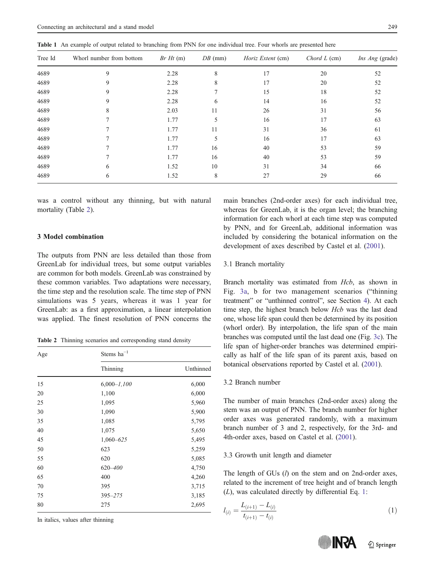| ٦<br>I<br>v |
|-------------|
|-------------|

| $\tilde{}$ |                          |             |           |                          |              |                        |
|------------|--------------------------|-------------|-----------|--------------------------|--------------|------------------------|
| Tree Id    | Whorl number from bottom | $Br Ht$ (m) | $DB$ (mm) | <i>Horiz Extent</i> (cm) | Chord L (cm) | <i>Ins Ang</i> (grade) |
| 4689       | 9                        | 2.28        | 8         | 17                       | 20           | 52                     |
| 4689       | 9                        | 2.28        | 8         | 17                       | 20           | 52                     |
| 4689       | 9                        | 2.28        |           | 15                       | 18           | 52                     |
| 4689       | 9                        | 2.28        | 6         | 14                       | 16           | 52                     |
| 4689       | 8                        | 2.03        | 11        | 26                       | 31           | 56                     |
| 4689       |                          | 1.77        | 5         | 16                       | 17           | 63                     |
| 4689       |                          | 1.77        | 11        | 31                       | 36           | 61                     |
| 4689       |                          | 1.77        | 5         | 16                       | 17           | 63                     |
| 4689       |                          | 1.77        | 16        | 40                       | 53           | 59                     |
| 4689       |                          | 1.77        | 16        | 40                       | 53           | 59                     |
| 4689       | 6                        | 1.52        | 10        | 31                       | 34           | 66                     |
| 4689       | 6                        | 1.52        | 8         | 27                       | 29           | 66                     |
|            |                          |             |           |                          |              |                        |

Table 1 An example of output related to branching from PNN for one individual tree. Four whorls are presented here

was a control without any thinning, but with natural mortality (Table 2).

#### 3 Model combination

The outputs from PNN are less detailed than those from GreenLab for individual trees, but some output variables are common for both models. GreenLab was constrained by these common variables. Two adaptations were necessary, the time step and the resolution scale. The time step of PNN simulations was 5 years, whereas it was 1 year for GreenLab: as a first approximation, a linear interpolation was applied. The finest resolution of PNN concerns the

Table 2 Thinning scenarios and corresponding stand density

| Age | Stems $ha^{-1}$ |           |  |  |
|-----|-----------------|-----------|--|--|
|     | Thinning        | Unthinned |  |  |
| 15  | $6,000 - 1,100$ | 6,000     |  |  |
| 20  | 1,100           | 6,000     |  |  |
| 25  | 1,095           | 5,960     |  |  |
| 30  | 1,090           | 5,900     |  |  |
| 35  | 1,085           | 5,795     |  |  |
| 40  | 1,075           | 5,650     |  |  |
| 45  | $1,060 - 625$   | 5,495     |  |  |
| 50  | 623             | 5,259     |  |  |
| 55  | 620             | 5,085     |  |  |
| 60  | $620 - 400$     | 4,750     |  |  |
| 65  | 400             | 4,260     |  |  |
| 70  | 395             | 3,715     |  |  |
| 75  | $395 - 275$     | 3,185     |  |  |
| 80  | 275             | 2,695     |  |  |

In italics, values after thinning

main branches (2nd-order axes) for each individual tree, whereas for GreenLab, it is the organ level; the branching information for each whorl at each time step was computed by PNN, and for GreenLab, additional information was included by considering the botanical information on the development of axes described by Castel et al. (2001).

#### 3.1 Branch mortality

Branch mortality was estimated from Hcb, as shown in Fig. 3a, b for two management scenarios ("thinning treatment" or "unthinned control", see Section 4). At each time step, the highest branch below Hcb was the last dead one, whose life span could then be determined by its position (whorl order). By interpolation, the life span of the main branches was computed until the last dead one (Fig. 3c). The life span of higher-order branches was determined empirically as half of the life span of its parent axis, based on botanical observations reported by Castel et al. (2001).

#### 3.2 Branch number

The number of main branches (2nd-order axes) along the stem was an output of PNN. The branch number for higher order axes was generated randomly, with a maximum branch number of 3 and 2, respectively, for the 3rd- and 4th-order axes, based on Castel et al. (2001).

#### 3.3 Growth unit length and diameter

The length of GUs  $(l)$  on the stem and on 2nd-order axes, related to the increment of tree height and of branch length (L), was calculated directly by differential Eq. 1:

$$
l_{(i)} = \frac{L_{(i+1)} - L_{(i)}}{t_{(i+1)} - t_{(i)}}\tag{1}
$$

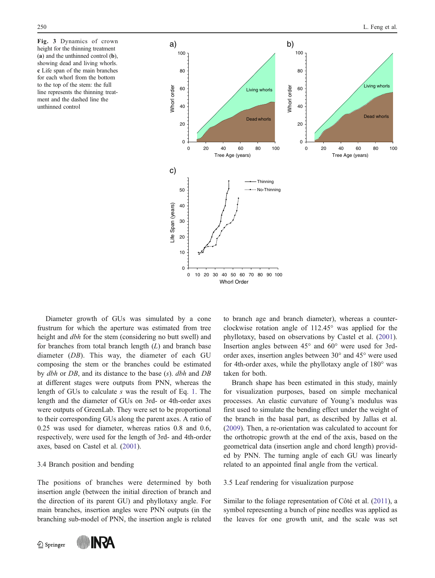Fig. 3 Dynamics of crown height for the thinning treatment (a) and the unthinned control (b), showing dead and living whorls. c Life span of the main branches for each whorl from the bottom to the top of the stem: the full line represents the thinning treatment and the dashed line the unthinned control



Diameter growth of GUs was simulated by a cone frustrum for which the aperture was estimated from tree height and *dbh* for the stem (considering no butt swell) and for branches from total branch length  $(L)$  and branch base diameter (DB). This way, the diameter of each GU composing the stem or the branches could be estimated by dbh or DB, and its distance to the base (s). dbh and DB at different stages were outputs from PNN, whereas the length of GUs to calculate s was the result of Eq. 1. The length and the diameter of GUs on 3rd- or 4th-order axes were outputs of GreenLab. They were set to be proportional to their corresponding GUs along the parent axes. A ratio of 0.25 was used for diameter, whereas ratios 0.8 and 0.6, respectively, were used for the length of 3rd- and 4th-order axes, based on Castel et al. (2001).

#### 3.4 Branch position and bending

The positions of branches were determined by both insertion angle (between the initial direction of branch and the direction of its parent GU) and phyllotaxy angle. For main branches, insertion angles were PNN outputs (in the branching sub-model of PNN, the insertion angle is related

2 Springer



to branch age and branch diameter), whereas a counterclockwise rotation angle of 112.45° was applied for the phyllotaxy, based on observations by Castel et al. (2001). Insertion angles between 45° and 60° were used for 3rdorder axes, insertion angles between 30° and 45° were used for 4th-order axes, while the phyllotaxy angle of 180° was taken for both.

Branch shape has been estimated in this study, mainly for visualization purposes, based on simple mechanical processes. An elastic curvature of Young's modulus was first used to simulate the bending effect under the weight of the branch in the basal part, as described by Jallas et al. (2009). Then, a re-orientation was calculated to account for the orthotropic growth at the end of the axis, based on the geometrical data (insertion angle and chord length) provided by PNN. The turning angle of each GU was linearly related to an appointed final angle from the vertical.

#### 3.5 Leaf rendering for visualization purpose

Similar to the foliage representation of Côté et al. (2011), a symbol representing a bunch of pine needles was applied as the leaves for one growth unit, and the scale was set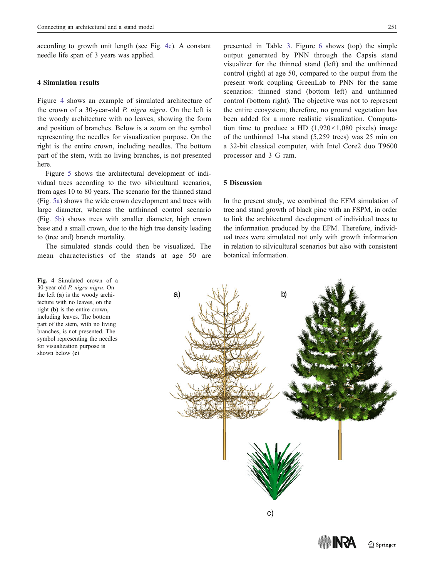according to growth unit length (see Fig. 4c). A constant needle life span of 3 years was applied.

#### 4 Simulation results

Figure 4 shows an example of simulated architecture of the crown of a 30-year-old P. nigra nigra. On the left is the woody architecture with no leaves, showing the form and position of branches. Below is a zoom on the symbol representing the needles for visualization purpose. On the right is the entire crown, including needles. The bottom part of the stem, with no living branches, is not presented here.

Figure 5 shows the architectural development of individual trees according to the two silvicultural scenarios, from ages 10 to 80 years. The scenario for the thinned stand (Fig. 5a) shows the wide crown development and trees with large diameter, whereas the unthinned control scenario (Fig. 5b) shows trees with smaller diameter, high crown base and a small crown, due to the high tree density leading to (tree and) branch mortality.

The simulated stands could then be visualized. The mean characteristics of the stands at age 50 are

Fig. 4 Simulated crown of a 30-year old P. nigra nigra. On the left (a) is the woody architecture with no leaves, on the right (b) is the entire crown, including leaves. The bottom part of the stem, with no living branches, is not presented. The symbol representing the needles for visualization purpose is shown below (c)

 $\hat{Z}$  Springer

presented in Table 3. Figure 6 shows (top) the simple output generated by PNN through the Capsis stand visualizer for the thinned stand (left) and the unthinned control (right) at age 50, compared to the output from the present work coupling GreenLab to PNN for the same scenarios: thinned stand (bottom left) and unthinned control (bottom right). The objective was not to represent the entire ecosystem; therefore, no ground vegetation has been added for a more realistic visualization. Computation time to produce a HD  $(1,920 \times 1,080)$  pixels) image of the unthinned 1-ha stand (5,259 trees) was 25 min on a 32-bit classical computer, with Intel Core2 duo T9600 processor and 3 G ram.

#### 5 Discussion

In the present study, we combined the EFM simulation of tree and stand growth of black pine with an FSPM, in order to link the architectural development of individual trees to the information produced by the EFM. Therefore, individual trees were simulated not only with growth information in relation to silvicultural scenarios but also with consistent botanical information.

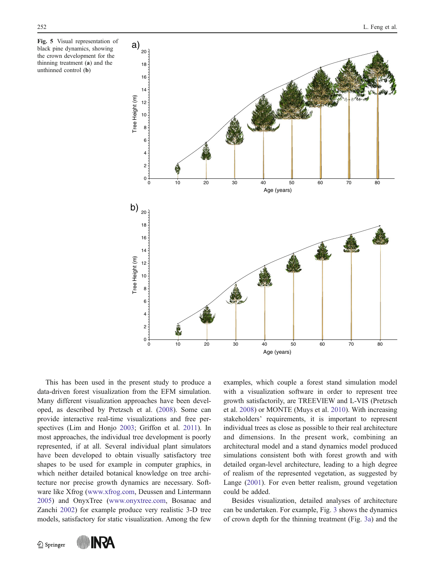Fig. 5 Visual representation of black pine dynamics, showing the crown development for the thinning treatment (a) and the unthinned control (b)



This has been used in the present study to produce a data-driven forest visualization from the EFM simulation. Many different visualization approaches have been developed, as described by Pretzsch et al. (2008). Some can provide interactive real-time visualizations and free perspectives (Lim and Honjo 2003; Griffon et al. 2011). In most approaches, the individual tree development is poorly represented, if at all. Several individual plant simulators have been developed to obtain visually satisfactory tree shapes to be used for example in computer graphics, in which neither detailed botanical knowledge on tree architecture nor precise growth dynamics are necessary. Software like Xfrog ([www.xfrog.com](http://www.xfrog.com), Deussen and Lintermann 2005) and OnyxTree [\(www.onyxtree.com,](http://www.onyxtree.com) Bosanac and Zanchi 2002) for example produce very realistic 3-D tree models, satisfactory for static visualization. Among the few examples, which couple a forest stand simulation model with a visualization software in order to represent tree growth satisfactorily, are TREEVIEW and L-VIS (Pretzsch et al. 2008) or MONTE (Muys et al. 2010). With increasing stakeholders' requirements, it is important to represent individual trees as close as possible to their real architecture and dimensions. In the present work, combining an architectural model and a stand dynamics model produced simulations consistent both with forest growth and with detailed organ-level architecture, leading to a high degree of realism of the represented vegetation, as suggested by Lange (2001). For even better realism, ground vegetation could be added.

Besides visualization, detailed analyses of architecture can be undertaken. For example, Fig. 3 shows the dynamics of crown depth for the thinning treatment (Fig. 3a) and the

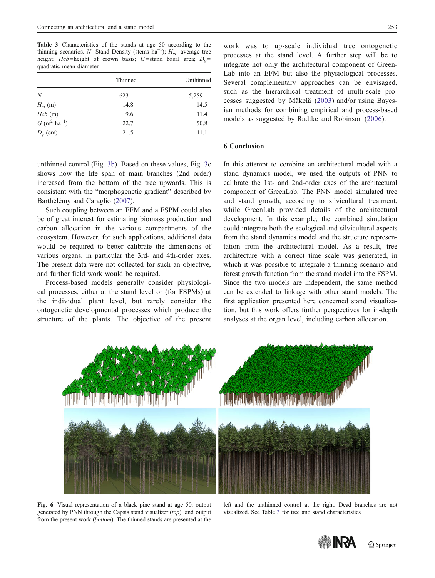Table 3 Characteristics of the stands at age 50 according to the thinning scenarios. N=Stand Density (stems  $ha^{-1}$ );  $H_m$ =average tree height; Hcb=height of crown basis; G=stand basal area;  $D<sub>g</sub>$ = quadratic mean diameter

|                   | Thinned | Unthinned |
|-------------------|---------|-----------|
| N                 | 623     | 5,259     |
| $H_m(m)$          | 14.8    | 14.5      |
| $Hcb$ (m)         | 9.6     | 11.4      |
| $G (m^2 ha^{-1})$ | 22.7    | 50.8      |
| $D_g$ (cm)        | 21.5    | 11.1      |

unthinned control (Fig. 3b). Based on these values, Fig. 3c shows how the life span of main branches (2nd order) increased from the bottom of the tree upwards. This is consistent with the "morphogenetic gradient" described by Barthélémy and Caraglio (2007).

Such coupling between an EFM and a FSPM could also be of great interest for estimating biomass production and carbon allocation in the various compartments of the ecosystem. However, for such applications, additional data would be required to better calibrate the dimensions of various organs, in particular the 3rd- and 4th-order axes. The present data were not collected for such an objective, and further field work would be required.

Process-based models generally consider physiological processes, either at the stand level or (for FSPMs) at the individual plant level, but rarely consider the ontogenetic developmental processes which produce the structure of the plants. The objective of the present

work was to up-scale individual tree ontogenetic processes at the stand level. A further step will be to integrate not only the architectural component of Green-Lab into an EFM but also the physiological processes. Several complementary approaches can be envisaged, such as the hierarchical treatment of multi-scale processes suggested by Mäkelä (2003) and/or using Bayesian methods for combining empirical and process-based models as suggested by Radtke and Robinson (2006).

#### 6 Conclusion

In this attempt to combine an architectural model with a stand dynamics model, we used the outputs of PNN to calibrate the 1st- and 2nd-order axes of the architectural component of GreenLab. The PNN model simulated tree and stand growth, according to silvicultural treatment, while GreenLab provided details of the architectural development. In this example, the combined simulation could integrate both the ecological and silvicultural aspects from the stand dynamics model and the structure representation from the architectural model. As a result, tree architecture with a correct time scale was generated, in which it was possible to integrate a thinning scenario and forest growth function from the stand model into the FSPM. Since the two models are independent, the same method can be extended to linkage with other stand models. The first application presented here concerned stand visualization, but this work offers further perspectives for in-depth analyses at the organ level, including carbon allocation.



Fig. 6 Visual representation of a black pine stand at age 50: output generated by PNN through the Capsis stand visualizer (top), and output from the present work (bottom). The thinned stands are presented at the

left and the unthinned control at the right. Dead branches are not visualized. See Table 3 for tree and stand characteristics

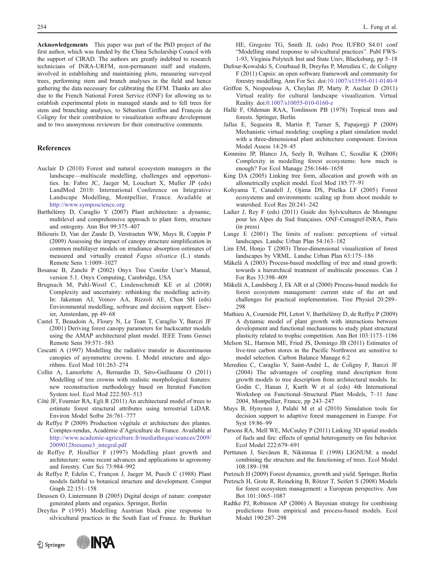Acknowledgements This paper was part of the PhD project of the first author, which was funded by the China Scholarship Council with the support of CIRAD. The authors are greatly indebted to research technicians of INRA-URFM, non-permanent staff and students, involved in establishing and maintaining plots, measuring surveyed trees, performing stem and branch analyses in the field and hence gathering the data necessary for calibrating the EFM. Thanks are also due to the French National Forest Service (ONF) for allowing us to establish experimental plots in managed stands and to fell trees for stem and branching analyses, to Sébastien Griffon and François de Coligny for their contribution to visualization software development and to two anonymous reviewers for their constructive comments.

#### **References**

- Auclair D (2010) Forest and natural ecosystem managers in the landscape—multiscale modelling, challenges and opportunities. In: Fabre JC, Jaeger M, Louchart X, Muller JP (eds) LandMod 2010: International Conference on Integrative Landscape Modelling, Montpellier, France. Available at <http://www.symposcience.org>
- Barthélémy D, Caraglio Y (2007) Plant architecture: a dynamic, multilevel and comprehensive approach to plant form, structure and ontogeny. Ann Bot 99:375–407
- Biliouris D, Van der Zande D, Verstraeten WW, Muys B, Coppin P (2009) Assessing the impact of canopy structure simplification in common multilayer models on irradiance absorption estimates of measured and virtually created Fagus silvatica (L.) stands. Remote Sens 1:1009–1027
- Bosanac B, Zanchi P (2002) Onyx Tree Conifer User's Manual, version 5.1. Onyx Computing, Cambridge, USA
- Brugnach M, Pahl-Wostl C, Lindenschmidt KE et al (2008) Complexity and uncertainty: rethinking the modelling activity. In: Jakeman AJ, Voinov AA, Rizzoli AE, Chen SH (eds) Environmental modelling, software and decision support. Elsevier, Amsterdam, pp 49–68
- Castel T, Beaudoin A, Floury N, Le Toan T, Caraglio Y, Barczi JF (2001) Deriving forest canopy parameters for backscatter models using the AMAP architectural plant model. IEEE Trans Geosci Remote Sens 39:571–583
- Cescatti A (1997) Modelling the radiative transfer in discontinuous canopies of asymmetric crowns. I. Model structure and algorithms. Ecol Mod 101:263–274
- Collin A, Lamorlette A, Bernardin D, Séro-Guillaume O (2011) Modelling of tree crowns with realistic morphological features: new reconstruction methodology based on Iterated Function System tool. Ecol Mod 222:503–513
- Côté JF, Fournier RA, Egli R (2011) An architectural model of trees to estimate forest structural attributes using terrestrial LiDAR. Environ Model Softw 26:761–777
- de Reffye P (2009) Production végétale et architecture des plantes. Comptes-rendus, Académie d'Agriculture de France. Available at [http://www.academie-agriculture.fr/mediatheque/seances/2009/](http://www.academie-agriculture.fr/mediatheque/seances/2009/20090128resume3_integral.pdf) [20090128resume3\\_integral.pdf](http://www.academie-agriculture.fr/mediatheque/seances/2009/20090128resume3_integral.pdf)
- de Reffye P, Houllier F (1997) Modelling plant growth and architecture: some recent advances and applications to agronomy and forestry. Curr Sci 73:984–992
- de Reffye P, Edelin C, Françon J, Jaeger M, Puech C (1988) Plant models faithful to botanical structure and development. Comput Graph 22:151–158
- Deussen O, Lintermann B (2005) Digital design of nature: computer generated plants and organics. Springer, Berlin
- Dreyfus P (1993) Modelling Austrian black pine response to silvicultural practices in the South East of France. In: Burkhart



HE, Gregoire TG, Smith JL (eds) Proc IUFRO S4.01 conf "Modelling stand response to silvicultural practices". Publ FWS-1-93, Virginia Polytech Inst and State Univ, Blacksburg, pp 5–18

- Dufour-Kowalski S, Courbaud B, Dreyfus P, Meredieu C, de Coligny F (2011) Capsis: an open software framework and community for forestry modelling. Ann For Sci. doi[:10.1007/s13595-011-0140-9](http://dx.doi.org/10.1007/s13595-011-0140-9)
- Griffon S, Nespoulous A, Cheylan JP, Marty P, Auclair D (2011) Virtual reality for cultural landscape visualization. Virtual Reality. doi:[0.1007/s10055-010-0160-z](http://dx.doi.org/0.1007/s10055-010-0160-z)
- Hallé F, Oldeman RAA, Tomlinson PB (1978) Tropical trees and forests. Springer, Berlin
- Jallas E, Sequeira R, Martin P, Turner S, Papajorgji P (2009) Mechanistic virtual modeling: coupling a plant simulation model with a three-dimensional plant architecture component. Environ Model Assess 14:29–45
- Kimmins JP, Blanco JA, Seely B, Welham C, Scoullar K (2008) Complexity in modelling forest ecosystems: how much is enough? For Ecol Manage 256:1646–1658
- King DA (2005) Linking tree form, allocation and growth with an allometrically explicit model. Ecol Mod 185:77–91
- Kohyama T, Canadell J, Ojima DS, Pitelka LF (2005) Forest ecosystems and environments: scaling up from shoot module to watershed. Ecol Res 20:241–242
- Ladier J, Rey F (eds) (2011) Guide des Sylvicultures de Montagne pour les Alpes du Sud françaises. ONF-Cemagref-INRA, Paris (in press)
- Lange E (2001) The limits of realism: perceptions of virtual landscapes. Landsc Urban Plan 54:163–182
- Lim EM, Honjo T (2003) Three-dimensional visualization of forest landscapes by VRML. Landsc Urban Plan 63:175–186
- Mäkelä A (2003) Process-based modelling of tree and stand growth: towards a hierarchical treatment of multiscale processes. Can J For Res 33:398–409
- Mäkelä A, Landsberg J, Ek AR et al (2000) Process-based models for forest ecosystem management: current state of the art and challenges for practical implementation. Tree Physiol 20:289– 298
- Mathieu A, Cournède PH, Letort V, Barthélémy D, de Reffye P (2009) A dynamic model of plant growth with interactions between development and functional mechanisms to study plant structural plasticity related to trophic competition. Ann Bot 103:1173–1186
- Melson SL, Harmon ME, Fried JS, Domingo JB (2011) Estimates of live-tree carbon stores in the Pacific Northwest are sensitive to model selection. Carbon Balance Manage 6:2
- Meredieu C, Caraglio Y, Saint-André L, de Coligny F, Barczi JF (2004) The advantages of coupling stand description from growth models to tree description from architectural models. In: Godin C, Hanan J, Kurth W et al (eds) 4th International Workshop on Functional–Structural Plant Models, 7–11 June 2004, Montpellier, France, pp 243–247
- Muys B, Hynynen J, Palahí M et al (2010) Simulation tools for decision support to adaptive forest management in Europe. For Syst 19:86–99
- Parsons RA, Mell WE, McCauley P (2011) Linking 3D spatial models of fuels and fire: effects of spatial heterogeneity on fire behavior. Ecol Model 222:679–691
- Perttunen J, Sievänen R, Nikinmaa E (1998) LIGNUM: a model combining the structure and the functioning of trees. Ecol Model 108:189–198
- Pretzsch H (2009) Forest dynamics, growth and yield. Springer, Berlin
- Pretzsch H, Grote R, Reineking B, Rötzer T, Seifert S (2008) Models for forest ecosystem management: a European perspective. Ann Bot 101:1065–1087
- Radtke PJ, Robinson AP (2006) A Bayesian strategy for combining predictions from empirical and process-based models. Ecol Model 190:287–298